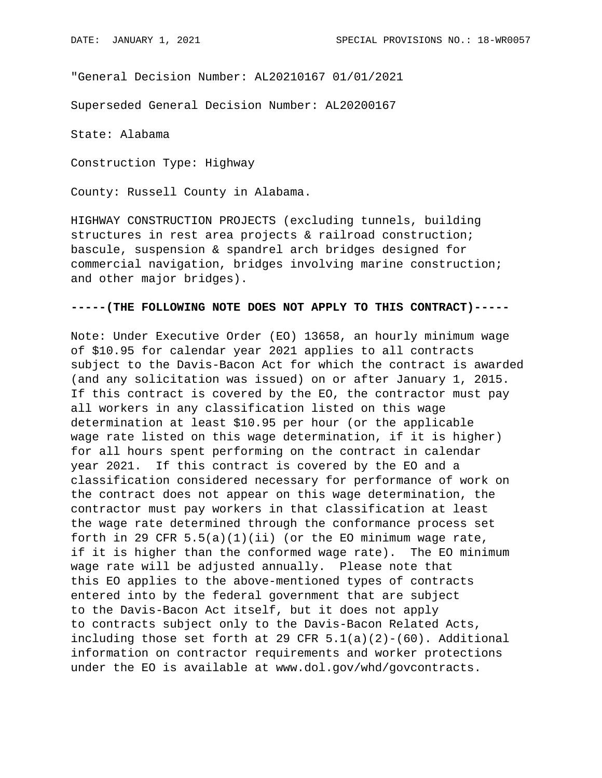"General Decision Number: AL20210167 01/01/2021

Superseded General Decision Number: AL20200167

State: Alabama

Construction Type: Highway

County: Russell County in Alabama.

HIGHWAY CONSTRUCTION PROJECTS (excluding tunnels, building structures in rest area projects & railroad construction; bascule, suspension & spandrel arch bridges designed for commercial navigation, bridges involving marine construction; and other major bridges).

## **-----(THE FOLLOWING NOTE DOES NOT APPLY TO THIS CONTRACT)-----**

Note: Under Executive Order (EO) 13658, an hourly minimum wage of \$10.95 for calendar year 2021 applies to all contracts subject to the Davis-Bacon Act for which the contract is awarded (and any solicitation was issued) on or after January 1, 2015. If this contract is covered by the EO, the contractor must pay all workers in any classification listed on this wage determination at least \$10.95 per hour (or the applicable wage rate listed on this wage determination, if it is higher) for all hours spent performing on the contract in calendar year 2021. If this contract is covered by the EO and a classification considered necessary for performance of work on the contract does not appear on this wage determination, the contractor must pay workers in that classification at least the wage rate determined through the conformance process set forth in 29 CFR  $5.5(a)(1)(ii)$  (or the EO minimum wage rate, if it is higher than the conformed wage rate). The EO minimum wage rate will be adjusted annually. Please note that this EO applies to the above-mentioned types of contracts entered into by the federal government that are subject to the Davis-Bacon Act itself, but it does not apply to contracts subject only to the Davis-Bacon Related Acts, including those set forth at 29 CFR  $5.1(a)(2)-(60)$ . Additional information on contractor requirements and worker protections under the EO is available at www.dol.gov/whd/govcontracts.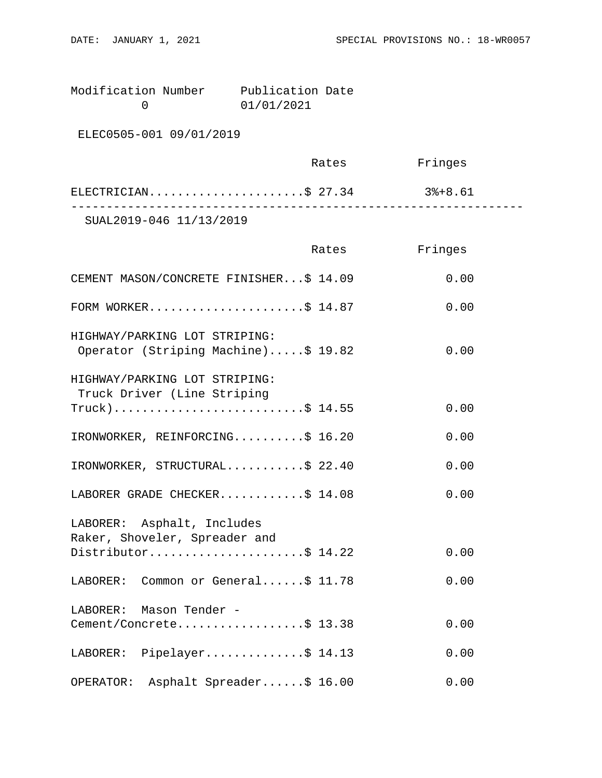Modification Number Publication Date<br>0 01/01/2021 0 01/01/2021

ELEC0505-001 09/01/2019

|                         | Rates | Fringes |  |
|-------------------------|-------|---------|--|
| ELECTRICIAN\$ 27.34     |       | 3%+8.61 |  |
| SUAL2019-046 11/13/2019 |       |         |  |

|                                                                      | Rates | Fringes |
|----------------------------------------------------------------------|-------|---------|
| CEMENT MASON/CONCRETE FINISHER\$ 14.09                               |       | 0.00    |
| FORM WORKER\$ $14.87$                                                |       | 0.00    |
| HIGHWAY/PARKING LOT STRIPING:<br>Operator (Striping Machine)\$ 19.82 |       | 0.00    |
| HIGHWAY/PARKING LOT STRIPING:<br>Truck Driver (Line Striping         |       |         |
| $True k)$ \$ 14.55                                                   |       | 0.00    |
| IRONWORKER, REINFORCING\$ 16.20                                      |       | 0.00    |
| IRONWORKER, STRUCTURAL\$ 22.40                                       |       | 0.00    |
| LABORER GRADE CHECKER\$ 14.08                                        |       | 0.00    |
| LABORER: Asphalt, Includes<br>Raker, Shoveler, Spreader and          |       |         |
| Distributor\$ 14.22                                                  |       | 0.00    |
| LABORER: Common or General\$ 11.78                                   |       | 0.00    |
| LABORER: Mason Tender -<br>Cement/Concrete\$ 13.38                   |       | 0.00    |
|                                                                      |       |         |
| LABORER: Pipelayer\$ 14.13                                           |       | 0.00    |
| Asphalt Spreader\$ 16.00<br>OPERATOR:                                |       | 0.00    |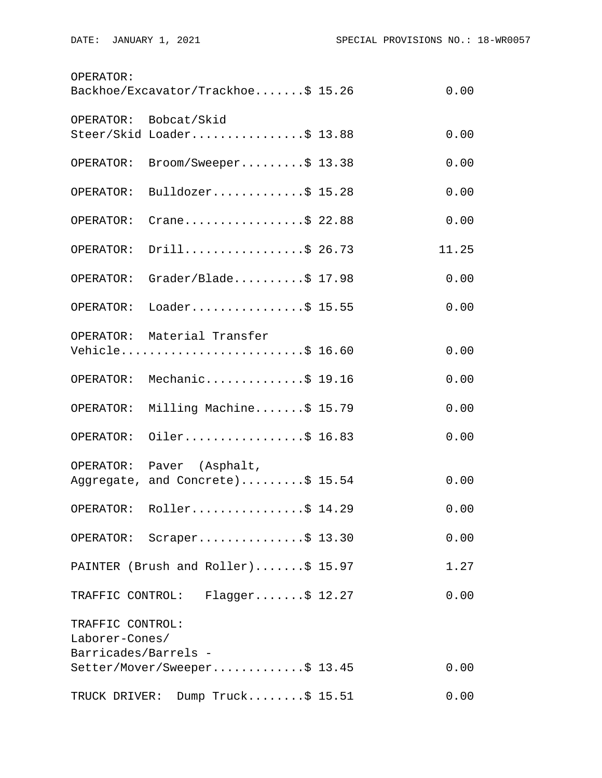| OPERATOR:            | Backhoe/Excavator/Trackhoe\$ 15.26 | 0.00  |
|----------------------|------------------------------------|-------|
|                      | OPERATOR: Bobcat/Skid              |       |
|                      | Steer/Skid Loader\$ 13.88          | 0.00  |
| OPERATOR:            | Broom/Sweeper\$ 13.38              | 0.00  |
| OPERATOR:            | Bulldozer\$ 15.28                  | 0.00  |
| OPERATOR:            | Crane\$ 22.88                      | 0.00  |
| OPERATOR:            | Drill\$ 26.73                      | 11.25 |
| OPERATOR:            | Grader/Blade\$ $17.98$             | 0.00  |
| OPERATOR:            | Loader\$ 15.55                     | 0.00  |
|                      | OPERATOR: Material Transfer        |       |
|                      | Vehicle\$ 16.60                    | 0.00  |
|                      | OPERATOR: Mechanic\$ 19.16         | 0.00  |
| OPERATOR:            | Milling Machine\$ 15.79            | 0.00  |
| OPERATOR:            | Oiler\$ 16.83                      | 0.00  |
|                      | OPERATOR: Paver (Asphalt,          |       |
|                      | Aggregate, and Concrete)\$ 15.54   | 0.00  |
|                      | OPERATOR: Roller\$ 14.29           | 0.00  |
|                      | OPERATOR: Scraper\$ 13.30          | 0.00  |
|                      | PAINTER (Brush and Roller)\$ 15.97 | 1.27  |
|                      | TRAFFIC CONTROL: Flagger\$ 12.27   | 0.00  |
| TRAFFIC CONTROL:     |                                    |       |
| Laborer-Cones/       |                                    |       |
| Barricades/Barrels - | Setter/Mover/Sweeper\$ 13.45       | 0.00  |
|                      | TRUCK DRIVER: Dump Truck\$ 15.51   | 0.00  |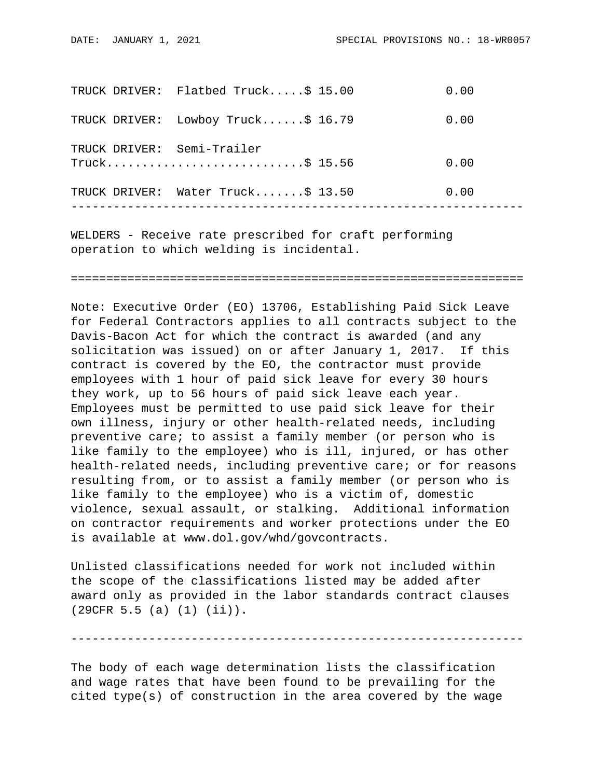|  | TRUCK DRIVER: Flatbed Truck\$ 15.00             | 0.00 |
|--|-------------------------------------------------|------|
|  | TRUCK DRIVER: Lowboy Truck\$ 16.79              | 0.00 |
|  | TRUCK DRIVER: Semi-Trailer<br>$True k$ \$ 15.56 | 0.00 |
|  | TRUCK DRIVER: Water Truck\$ 13.50               | 0.00 |
|  |                                                 |      |

WELDERS - Receive rate prescribed for craft performing operation to which welding is incidental.

================================================================

Note: Executive Order (EO) 13706, Establishing Paid Sick Leave for Federal Contractors applies to all contracts subject to the Davis-Bacon Act for which the contract is awarded (and any solicitation was issued) on or after January 1, 2017. If this contract is covered by the EO, the contractor must provide employees with 1 hour of paid sick leave for every 30 hours they work, up to 56 hours of paid sick leave each year. Employees must be permitted to use paid sick leave for their own illness, injury or other health-related needs, including preventive care; to assist a family member (or person who is like family to the employee) who is ill, injured, or has other health-related needs, including preventive care; or for reasons resulting from, or to assist a family member (or person who is like family to the employee) who is a victim of, domestic violence, sexual assault, or stalking. Additional information on contractor requirements and worker protections under the EO is available at www.dol.gov/whd/govcontracts.

Unlisted classifications needed for work not included within the scope of the classifications listed may be added after award only as provided in the labor standards contract clauses (29CFR 5.5 (a) (1) (ii)).

----------------------------------------------------------------

The body of each wage determination lists the classification and wage rates that have been found to be prevailing for the cited type(s) of construction in the area covered by the wage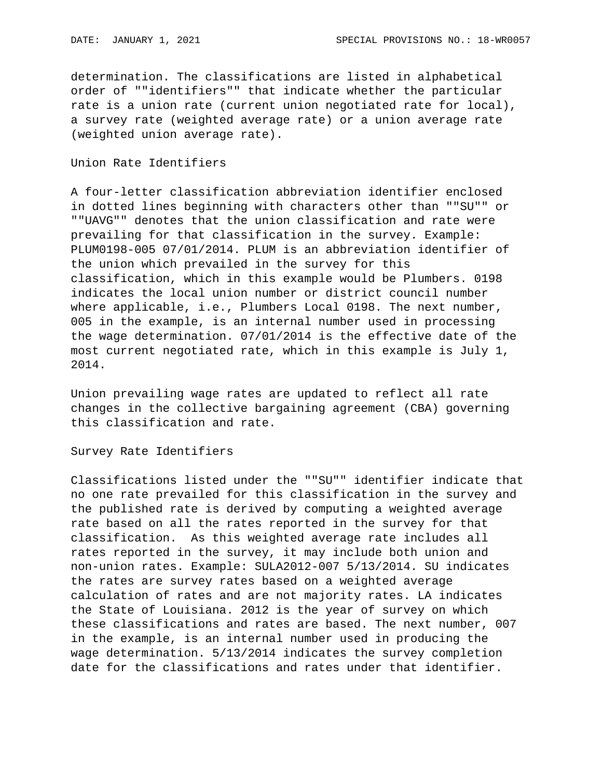determination. The classifications are listed in alphabetical order of ""identifiers"" that indicate whether the particular rate is a union rate (current union negotiated rate for local), a survey rate (weighted average rate) or a union average rate (weighted union average rate).

## Union Rate Identifiers

A four-letter classification abbreviation identifier enclosed in dotted lines beginning with characters other than ""SU"" or ""UAVG"" denotes that the union classification and rate were prevailing for that classification in the survey. Example: PLUM0198-005 07/01/2014. PLUM is an abbreviation identifier of the union which prevailed in the survey for this classification, which in this example would be Plumbers. 0198 indicates the local union number or district council number where applicable, i.e., Plumbers Local 0198. The next number, 005 in the example, is an internal number used in processing the wage determination. 07/01/2014 is the effective date of the most current negotiated rate, which in this example is July 1, 2014.

Union prevailing wage rates are updated to reflect all rate changes in the collective bargaining agreement (CBA) governing this classification and rate.

Survey Rate Identifiers

Classifications listed under the ""SU"" identifier indicate that no one rate prevailed for this classification in the survey and the published rate is derived by computing a weighted average rate based on all the rates reported in the survey for that classification. As this weighted average rate includes all rates reported in the survey, it may include both union and non-union rates. Example: SULA2012-007 5/13/2014. SU indicates the rates are survey rates based on a weighted average calculation of rates and are not majority rates. LA indicates the State of Louisiana. 2012 is the year of survey on which these classifications and rates are based. The next number, 007 in the example, is an internal number used in producing the wage determination. 5/13/2014 indicates the survey completion date for the classifications and rates under that identifier.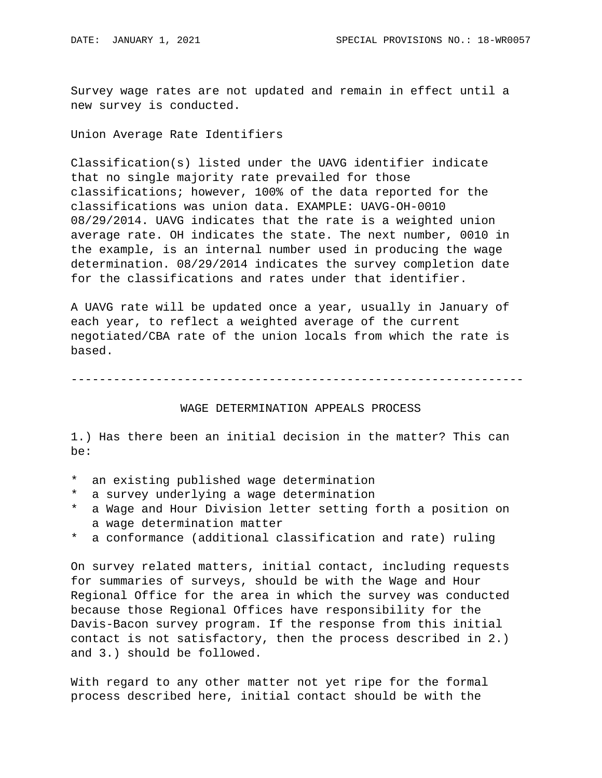Survey wage rates are not updated and remain in effect until a new survey is conducted.

Union Average Rate Identifiers

Classification(s) listed under the UAVG identifier indicate that no single majority rate prevailed for those classifications; however, 100% of the data reported for the classifications was union data. EXAMPLE: UAVG-OH-0010 08/29/2014. UAVG indicates that the rate is a weighted union average rate. OH indicates the state. The next number, 0010 in the example, is an internal number used in producing the wage determination. 08/29/2014 indicates the survey completion date for the classifications and rates under that identifier.

A UAVG rate will be updated once a year, usually in January of each year, to reflect a weighted average of the current negotiated/CBA rate of the union locals from which the rate is based.

----------------------------------------------------------------

## WAGE DETERMINATION APPEALS PROCESS

1.) Has there been an initial decision in the matter? This can be:

- \* an existing published wage determination
- \* a survey underlying a wage determination
- \* a Wage and Hour Division letter setting forth a position on a wage determination matter
- \* a conformance (additional classification and rate) ruling

On survey related matters, initial contact, including requests for summaries of surveys, should be with the Wage and Hour Regional Office for the area in which the survey was conducted because those Regional Offices have responsibility for the Davis-Bacon survey program. If the response from this initial contact is not satisfactory, then the process described in 2.) and 3.) should be followed.

With regard to any other matter not yet ripe for the formal process described here, initial contact should be with the